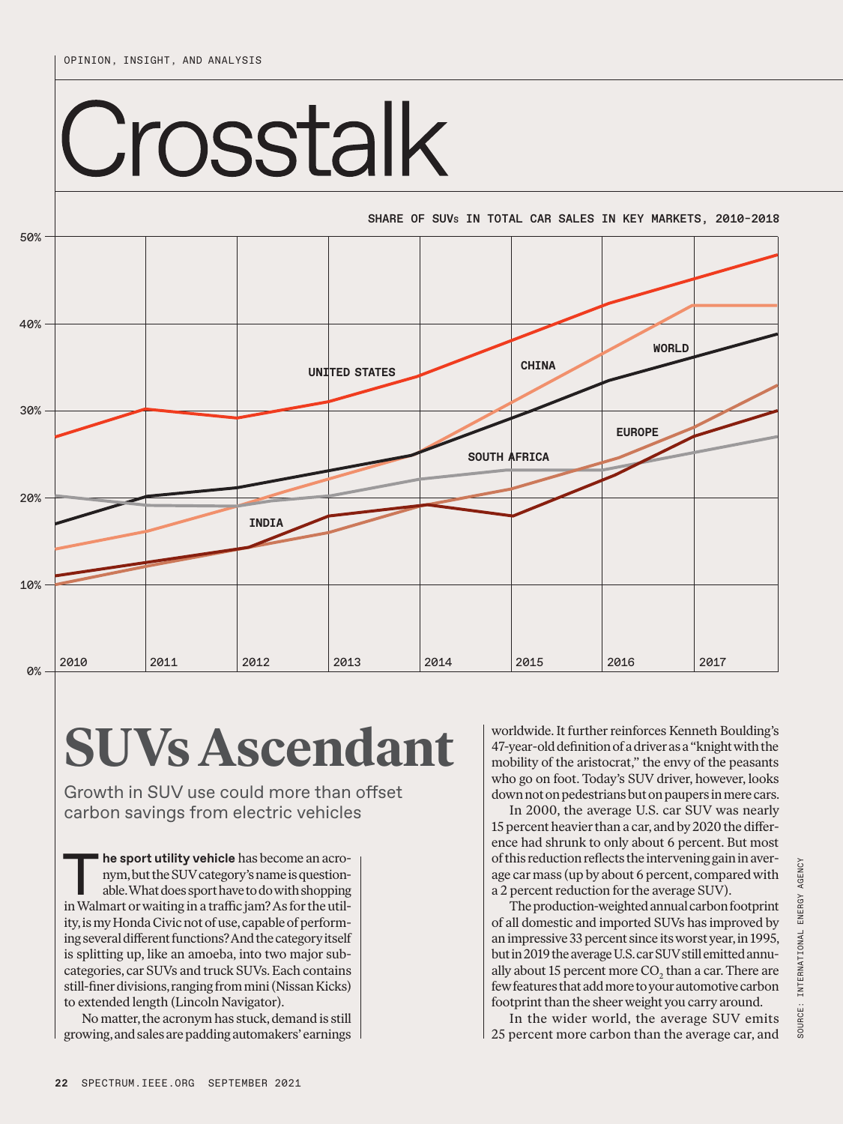50%

## Crosstalk

SHARE OF SUVs IN TOTAL CAR SALES IN KEY MARKETS, 2010–2018



## **SUVs Ascendant**

Growth in SUV use could more than offset carbon savings from electric vehicles

he sport utility vehicle has become an acronym, but the SUV category's name is questionable. What does sport have to do with shopping in Walmart or waiting in a traffic jam? As for the utility, is my Honda Civic not of use, capable of performing several different functions? And the category itself is splitting up, like an amoeba, into two major subcategories, car SUVs and truck SUVs. Each contains still-finer divisions, ranging from mini (Nissan Kicks) to extended length (Lincoln Navigator).

No matter, the acronym has stuck, demand is still growing, and sales are padding automakers' earnings worldwide. It further reinforces Kenneth Boulding's 47-year-old definition of a driver as a "knight with the mobility of the aristocrat," the envy of the peasants who go on foot. Today's SUV driver, however, looks down not on pedestrians but on paupers in mere cars.

In 2000, the average U.S. car SUV was nearly 15 percent heavier than a car, and by 2020 the difference had shrunk to only about 6 percent. But most of this reduction reflects the intervening gain in average car mass (up by about 6 percent, compared with a 2 percent reduction for the average SUV).

The production-weighted annual carbon footprint of all domestic and imported SUVs has improved by an impressive 33 percent since its worst year, in 1995, but in 2019 the average U.S. car SUV still emitted annually about 15 percent more  $\mathrm{CO}_2$  than a car. There are few features that add more to your automotive carbon footprint than the sheer weight you carry around.

In the wider world, the average SUV emits 25 percent more carbon than the average car, and